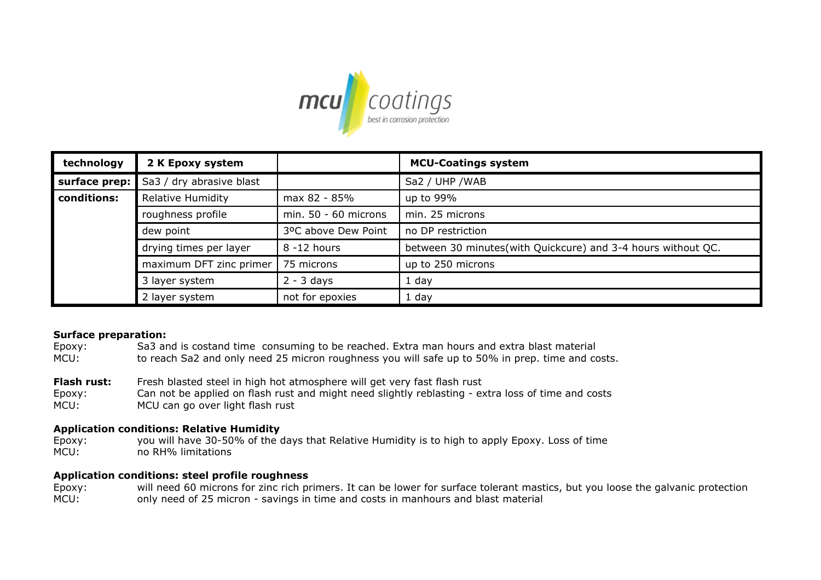

| technology    | 2 K Epoxy system         |                        | <b>MCU-Coatings system</b>                                    |
|---------------|--------------------------|------------------------|---------------------------------------------------------------|
| surface prep: | Sa3 / dry abrasive blast |                        | Sa2 / UHP / WAB                                               |
| conditions:   | <b>Relative Humidity</b> | max 82 - 85%           | up to 99%                                                     |
|               | roughness profile        | min. $50 - 60$ microns | min. 25 microns                                               |
|               | dew point                | 3ºC above Dew Point    | no DP restriction                                             |
|               | drying times per layer   | 8 -12 hours            | between 30 minutes (with Quickcure) and 3-4 hours without QC. |
|               | maximum DFT zinc primer  | 75 microns             | up to 250 microns                                             |
|               | 3 layer system           | $2 - 3$ days           | 1 day                                                         |
|               | 2 layer system           | not for epoxies        | $1$ day                                                       |

# **Surface preparation:**

- MCU: Epoxy: Sa3 and is costand time consuming to be reached. Extra man hours and extra blast material to reach Sa2 and only need 25 micron roughness you will safe up to 50% in prep. time and costs.
- **Flash rust:** Fresh blasted steel in high hot atmosphere will get very fast flash rust
- MCU: Epoxy: Can not be applied on flash rust and might need slightly reblasting - extra loss of time and costs MCU can go over light flash rust

# **Application conditions: Relative Humidity**

MCU: no RH% limitations Epoxy: you will have 30-50% of the days that Relative Humidity is to high to apply Epoxy. Loss of time

# **Application conditions: steel profile roughness**

MCU: Epoxy: will need 60 microns for zinc rich primers. It can be lower for surface tolerant mastics, but you loose the galvanic protection only need of 25 micron - savings in time and costs in manhours and blast material